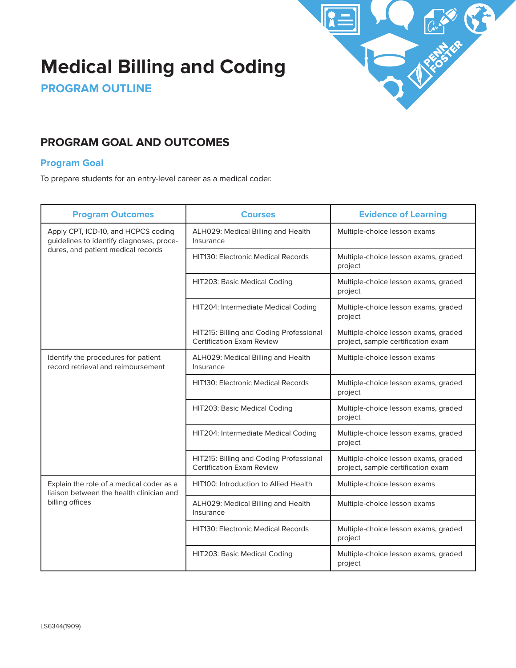

# **Medical Billing and Coding**

**PROGRAM OUTLINE**

# **PROGRAM GOAL AND OUTCOMES**

#### **Program Goal**

To prepare students for an entry-level career as a medical coder.

| <b>Program Outcomes</b>                                                                                               | <b>Courses</b>                                                              | <b>Evidence of Learning</b>                                                |
|-----------------------------------------------------------------------------------------------------------------------|-----------------------------------------------------------------------------|----------------------------------------------------------------------------|
| Apply CPT, ICD-10, and HCPCS coding<br>guidelines to identify diagnoses, proce-<br>dures, and patient medical records | ALH029: Medical Billing and Health<br>Insurance                             | Multiple-choice lesson exams                                               |
|                                                                                                                       | <b>HIT130: Electronic Medical Records</b>                                   | Multiple-choice lesson exams, graded<br>project                            |
|                                                                                                                       | HIT203: Basic Medical Coding                                                | Multiple-choice lesson exams, graded<br>project                            |
|                                                                                                                       | HIT204: Intermediate Medical Coding                                         | Multiple-choice lesson exams, graded<br>project                            |
|                                                                                                                       | HIT215: Billing and Coding Professional<br><b>Certification Exam Review</b> | Multiple-choice lesson exams, graded<br>project, sample certification exam |
| Identify the procedures for patient<br>record retrieval and reimbursement                                             | ALH029: Medical Billing and Health<br>Insurance                             | Multiple-choice lesson exams                                               |
|                                                                                                                       | <b>HIT130: Electronic Medical Records</b>                                   | Multiple-choice lesson exams, graded<br>project                            |
|                                                                                                                       | HIT203: Basic Medical Coding                                                | Multiple-choice lesson exams, graded<br>project                            |
|                                                                                                                       | HIT204: Intermediate Medical Coding                                         | Multiple-choice lesson exams, graded<br>project                            |
|                                                                                                                       | HIT215: Billing and Coding Professional<br>Certification Exam Review        | Multiple-choice lesson exams, graded<br>project, sample certification exam |
| Explain the role of a medical coder as a<br>liaison between the health clinician and<br>billing offices               | <b>HIT100: Introduction to Allied Health</b>                                | Multiple-choice lesson exams                                               |
|                                                                                                                       | ALH029: Medical Billing and Health<br>Insurance                             | Multiple-choice lesson exams                                               |
|                                                                                                                       | <b>HIT130: Electronic Medical Records</b>                                   | Multiple-choice lesson exams, graded<br>project                            |
|                                                                                                                       | HIT203: Basic Medical Coding                                                | Multiple-choice lesson exams, graded<br>project                            |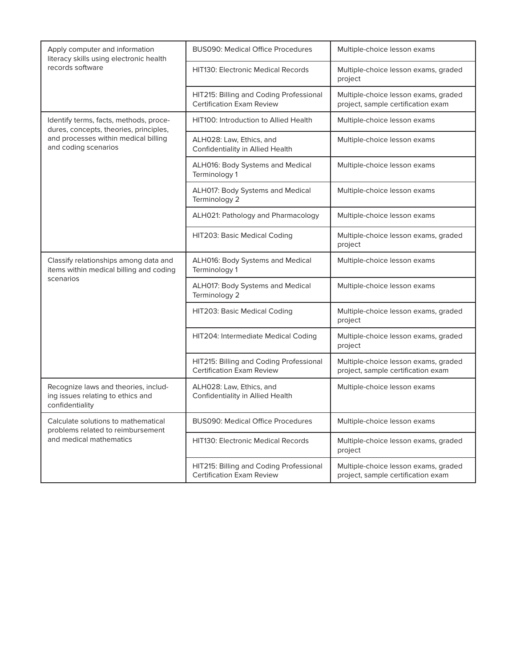| Apply computer and information<br>literacy skills using electronic health<br>records software                                                    | <b>BUS090: Medical Office Procedures</b>                                    | Multiple-choice lesson exams                                               |
|--------------------------------------------------------------------------------------------------------------------------------------------------|-----------------------------------------------------------------------------|----------------------------------------------------------------------------|
|                                                                                                                                                  | <b>HIT130: Electronic Medical Records</b>                                   | Multiple-choice lesson exams, graded<br>project                            |
|                                                                                                                                                  | HIT215: Billing and Coding Professional<br><b>Certification Exam Review</b> | Multiple-choice lesson exams, graded<br>project, sample certification exam |
| Identify terms, facts, methods, proce-<br>dures, concepts, theories, principles,<br>and processes within medical billing<br>and coding scenarios | HIT100: Introduction to Allied Health                                       | Multiple-choice lesson exams                                               |
|                                                                                                                                                  | ALH028: Law, Ethics, and<br>Confidentiality in Allied Health                | Multiple-choice lesson exams                                               |
|                                                                                                                                                  | ALH016: Body Systems and Medical<br>Terminology 1                           | Multiple-choice lesson exams                                               |
|                                                                                                                                                  | ALH017: Body Systems and Medical<br>Terminology 2                           | Multiple-choice lesson exams                                               |
|                                                                                                                                                  | ALH021: Pathology and Pharmacology                                          | Multiple-choice lesson exams                                               |
|                                                                                                                                                  | HIT203: Basic Medical Coding                                                | Multiple-choice lesson exams, graded<br>project                            |
| Classify relationships among data and<br>items within medical billing and coding<br>scenarios                                                    | <b>ALH016: Body Systems and Medical</b><br>Terminology 1                    | Multiple-choice lesson exams                                               |
|                                                                                                                                                  | ALH017: Body Systems and Medical<br>Terminology 2                           | Multiple-choice lesson exams                                               |
|                                                                                                                                                  | <b>HIT203: Basic Medical Coding</b>                                         | Multiple-choice lesson exams, graded<br>project                            |
|                                                                                                                                                  | HIT204: Intermediate Medical Coding                                         | Multiple-choice lesson exams, graded<br>project                            |
|                                                                                                                                                  | HIT215: Billing and Coding Professional<br><b>Certification Exam Review</b> | Multiple-choice lesson exams, graded<br>project, sample certification exam |
| Recognize laws and theories, includ-<br>ing issues relating to ethics and<br>confidentiality                                                     | ALH028: Law, Ethics, and<br>Confidentiality in Allied Health                | Multiple-choice lesson exams                                               |
| Calculate solutions to mathematical<br>problems related to reimbursement<br>and medical mathematics                                              | <b>BUS090: Medical Office Procedures</b>                                    | Multiple-choice lesson exams                                               |
|                                                                                                                                                  | <b>HIT130: Electronic Medical Records</b>                                   | Multiple-choice lesson exams, graded<br>project                            |
|                                                                                                                                                  | HIT215: Billing and Coding Professional<br><b>Certification Exam Review</b> | Multiple-choice lesson exams, graded<br>project, sample certification exam |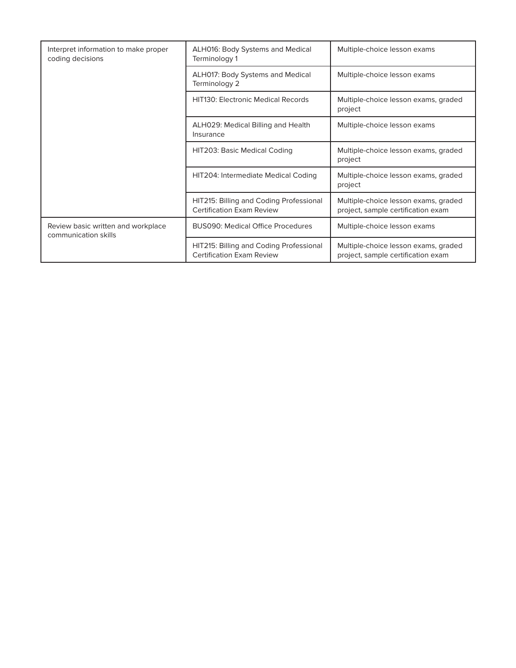| Interpret information to make proper<br>coding decisions   | ALH016: Body Systems and Medical<br>Terminology 1                           | Multiple-choice lesson exams                                               |
|------------------------------------------------------------|-----------------------------------------------------------------------------|----------------------------------------------------------------------------|
|                                                            | ALH017: Body Systems and Medical<br>Terminology 2                           | Multiple-choice lesson exams                                               |
|                                                            | <b>HIT130: Electronic Medical Records</b>                                   | Multiple-choice lesson exams, graded<br>project                            |
|                                                            | ALH029: Medical Billing and Health<br>Insurance                             | Multiple-choice lesson exams                                               |
|                                                            | HIT203: Basic Medical Coding                                                | Multiple-choice lesson exams, graded<br>project                            |
|                                                            | HIT204: Intermediate Medical Coding                                         | Multiple-choice lesson exams, graded<br>project                            |
|                                                            | HIT215: Billing and Coding Professional<br><b>Certification Exam Review</b> | Multiple-choice lesson exams, graded<br>project, sample certification exam |
| Review basic written and workplace<br>communication skills | <b>BUS090: Medical Office Procedures</b>                                    | Multiple-choice lesson exams                                               |
|                                                            | HIT215: Billing and Coding Professional<br><b>Certification Exam Review</b> | Multiple-choice lesson exams, graded<br>project, sample certification exam |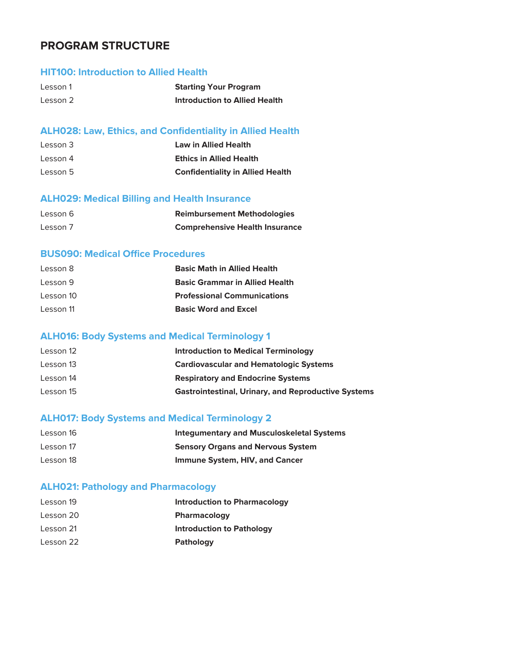## **PROGRAM STRUCTURE**

# **HIT100: Introduction to Allied Health**

| Lesson 1 | <b>Starting Your Program</b>         |
|----------|--------------------------------------|
| Lesson 2 | <b>Introduction to Allied Health</b> |

## **ALH028: Law, Ethics, and Confidentiality in Allied Health**

| Lesson 3 | Law in Allied Health                    |
|----------|-----------------------------------------|
| Lesson 4 | <b>Ethics in Allied Health</b>          |
| Lesson 5 | <b>Confidentiality in Allied Health</b> |

#### **ALH029: Medical Billing and Health Insurance**

| Lesson 6 | <b>Reimbursement Methodologies</b>    |
|----------|---------------------------------------|
| Lesson 7 | <b>Comprehensive Health Insurance</b> |

## **BUS090: Medical Office Procedures**

| Lesson 8  | <b>Basic Math in Allied Health</b>    |
|-----------|---------------------------------------|
| Lesson 9  | <b>Basic Grammar in Allied Health</b> |
| Lesson 10 | <b>Professional Communications</b>    |
| Lesson 11 | <b>Basic Word and Excel</b>           |

## **ALH016: Body Systems and Medical Terminology 1**

| Lesson 12 | <b>Introduction to Medical Terminology</b>                 |
|-----------|------------------------------------------------------------|
| Lesson 13 | <b>Cardiovascular and Hematologic Systems</b>              |
| Lesson 14 | <b>Respiratory and Endocrine Systems</b>                   |
| Lesson 15 | <b>Gastrointestinal, Urinary, and Reproductive Systems</b> |

## **ALH017: Body Systems and Medical Terminology 2**

| Lesson 16 | <b>Integumentary and Musculoskeletal Systems</b> |
|-----------|--------------------------------------------------|
| Lesson 17 | <b>Sensory Organs and Nervous System</b>         |
| Lesson 18 | Immune System, HIV, and Cancer                   |

## **ALH021: Pathology and Pharmacology**

| Lesson 19 | <b>Introduction to Pharmacology</b> |
|-----------|-------------------------------------|
| Lesson 20 | <b>Pharmacology</b>                 |
| Lesson 21 | <b>Introduction to Pathology</b>    |
| Lesson 22 | <b>Pathology</b>                    |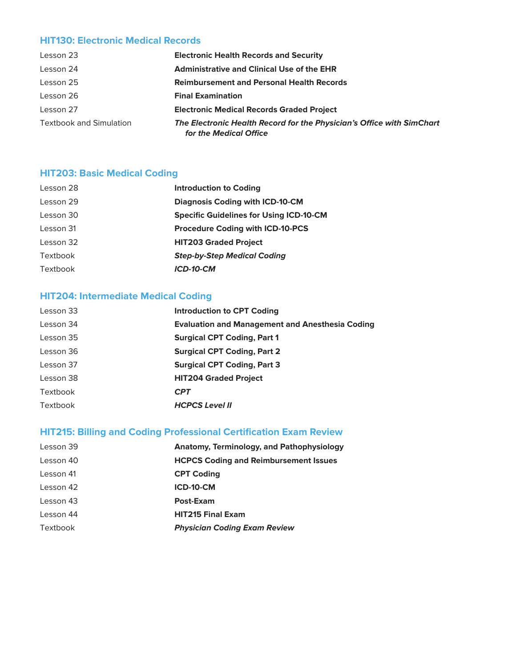## **HIT130: Electronic Medical Records**

| Lesson 23                      | <b>Electronic Health Records and Security</b>                                                   |
|--------------------------------|-------------------------------------------------------------------------------------------------|
| Lesson 24                      | <b>Administrative and Clinical Use of the EHR</b>                                               |
| Lesson 25                      | <b>Reimbursement and Personal Health Records</b>                                                |
| Lesson 26                      | <b>Final Examination</b>                                                                        |
| Lesson 27                      | <b>Electronic Medical Records Graded Project</b>                                                |
| <b>Textbook and Simulation</b> | The Electronic Health Record for the Physician's Office with SimChart<br>for the Medical Office |

## **HIT203: Basic Medical Coding**

| Lesson 28 | <b>Introduction to Coding</b>                  |
|-----------|------------------------------------------------|
| Lesson 29 | <b>Diagnosis Coding with ICD-10-CM</b>         |
| Lesson 30 | <b>Specific Guidelines for Using ICD-10-CM</b> |
| Lesson 31 | <b>Procedure Coding with ICD-10-PCS</b>        |
| Lesson 32 | <b>HIT203 Graded Project</b>                   |
| Textbook  | <b>Step-by-Step Medical Coding</b>             |
| Textbook  | ICD-10-CM                                      |
|           |                                                |

## **HIT204: Intermediate Medical Coding**

| Lesson 33 | <b>Introduction to CPT Coding</b>                      |
|-----------|--------------------------------------------------------|
| Lesson 34 | <b>Evaluation and Management and Anesthesia Coding</b> |
| Lesson 35 | <b>Surgical CPT Coding, Part 1</b>                     |
| Lesson 36 | <b>Surgical CPT Coding, Part 2</b>                     |
| Lesson 37 | <b>Surgical CPT Coding, Part 3</b>                     |
| Lesson 38 | <b>HIT204 Graded Project</b>                           |
| Textbook  | <b>CPT</b>                                             |
| Textbook  | <b>HCPCS Level II</b>                                  |

## **HIT215: Billing and Coding Professional Certification Exam Review**

| Lesson 39 | <b>Anatomy, Terminology, and Pathophysiology</b> |
|-----------|--------------------------------------------------|
| Lesson 40 | <b>HCPCS Coding and Reimbursement Issues</b>     |
| Lesson 41 | <b>CPT Coding</b>                                |
| Lesson 42 | <b>ICD-10-CM</b>                                 |
| Lesson 43 | Post-Exam                                        |
| Lesson 44 | <b>HIT215 Final Exam</b>                         |
| Textbook  | <b>Physician Coding Exam Review</b>              |
|           |                                                  |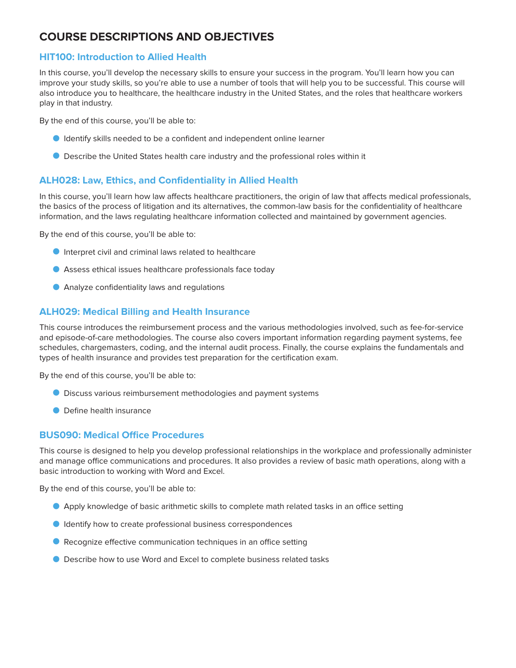# **COURSE DESCRIPTIONS AND OBJECTIVES**

## **HIT100: Introduction to Allied Health**

In this course, you'll develop the necessary skills to ensure your success in the program. You'll learn how you can improve your study skills, so you're able to use a number of tools that will help you to be successful. This course will also introduce you to healthcare, the healthcare industry in the United States, and the roles that healthcare workers play in that industry.

By the end of this course, you'll be able to:

- O Identify skills needed to be a confident and independent online learner
- O Describe the United States health care industry and the professional roles within it

### **ALH028: Law, Ethics, and Confidentiality in Allied Health**

In this course, you'll learn how law affects healthcare practitioners, the origin of law that affects medical professionals, the basics of the process of litigation and its alternatives, the common-law basis for the confidentiality of healthcare information, and the laws regulating healthcare information collected and maintained by government agencies.

By the end of this course, you'll be able to:

- O Interpret civil and criminal laws related to healthcare
- O Assess ethical issues healthcare professionals face today
- O Analyze confidentiality laws and regulations

## **ALH029: Medical Billing and Health Insurance**

This course introduces the reimbursement process and the various methodologies involved, such as fee-for-service and episode-of-care methodologies. The course also covers important information regarding payment systems, fee schedules, chargemasters, coding, and the internal audit process. Finally, the course explains the fundamentals and types of health insurance and provides test preparation for the certification exam.

By the end of this course, you'll be able to:

- O Discuss various reimbursement methodologies and payment systems
- O Define health insurance

#### **BUS090: Medical Office Procedures**

This course is designed to help you develop professional relationships in the workplace and professionally administer and manage office communications and procedures. It also provides a review of basic math operations, along with a basic introduction to working with Word and Excel.

By the end of this course, you'll be able to:

- O Apply knowledge of basic arithmetic skills to complete math related tasks in an office setting
- **I** Identify how to create professional business correspondences
- Recognize effective communication techniques in an office setting
- Describe how to use Word and Excel to complete business related tasks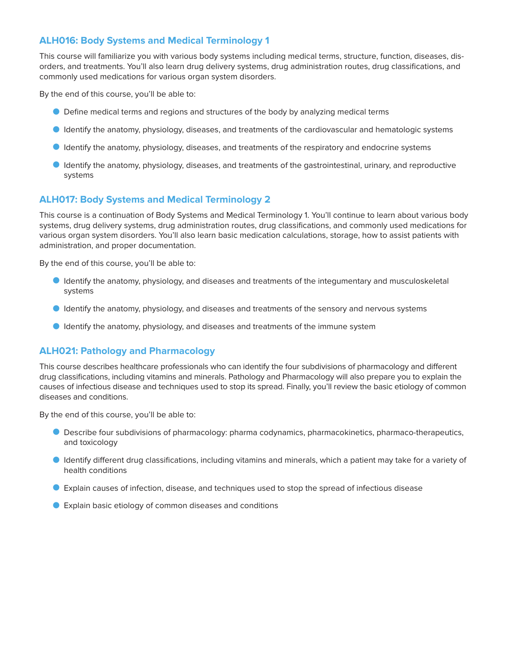## **ALH016: Body Systems and Medical Terminology 1**

This course will familiarize you with various body systems including medical terms, structure, function, diseases, disorders, and treatments. You'll also learn drug delivery systems, drug administration routes, drug classifications, and commonly used medications for various organ system disorders.

By the end of this course, you'll be able to:

- O Define medical terms and regions and structures of the body by analyzing medical terms
- O Identify the anatomy, physiology, diseases, and treatments of the cardiovascular and hematologic systems
- O Identify the anatomy, physiology, diseases, and treatments of the respiratory and endocrine systems
- O Identify the anatomy, physiology, diseases, and treatments of the gastrointestinal, urinary, and reproductive systems

### **ALH017: Body Systems and Medical Terminology 2**

This course is a continuation of Body Systems and Medical Terminology 1. You'll continue to learn about various body systems, drug delivery systems, drug administration routes, drug classifications, and commonly used medications for various organ system disorders. You'll also learn basic medication calculations, storage, how to assist patients with administration, and proper documentation.

By the end of this course, you'll be able to:

- O Identify the anatomy, physiology, and diseases and treatments of the integumentary and musculoskeletal systems
- O Identify the anatomy, physiology, and diseases and treatments of the sensory and nervous systems
- O Identify the anatomy, physiology, and diseases and treatments of the immune system

### **ALH021: Pathology and Pharmacology**

This course describes healthcare professionals who can identify the four subdivisions of pharmacology and different drug classifications, including vitamins and minerals. Pathology and Pharmacology will also prepare you to explain the causes of infectious disease and techniques used to stop its spread. Finally, you'll review the basic etiology of common diseases and conditions.

By the end of this course, you'll be able to:

- O Describe four subdivisions of pharmacology: pharma codynamics, pharmacokinetics, pharmaco-therapeutics, and toxicology
- O Identify different drug classifications, including vitamins and minerals, which a patient may take for a variety of health conditions
- O Explain causes of infection, disease, and techniques used to stop the spread of infectious disease
- **D** Explain basic etiology of common diseases and conditions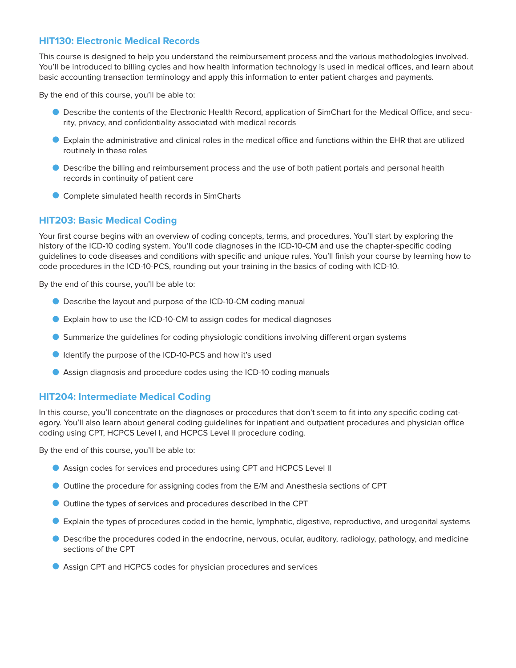#### **HIT130: Electronic Medical Records**

This course is designed to help you understand the reimbursement process and the various methodologies involved. You'll be introduced to billing cycles and how health information technology is used in medical offices, and learn about basic accounting transaction terminology and apply this information to enter patient charges and payments.

By the end of this course, you'll be able to:

- O Describe the contents of the Electronic Health Record, application of SimChart for the Medical Office, and security, privacy, and confidentiality associated with medical records
- O Explain the administrative and clinical roles in the medical office and functions within the EHR that are utilized routinely in these roles
- O Describe the billing and reimbursement process and the use of both patient portals and personal health records in continuity of patient care
- O Complete simulated health records in SimCharts

#### **HIT203: Basic Medical Coding**

Your first course begins with an overview of coding concepts, terms, and procedures. You'll start by exploring the history of the ICD-10 coding system. You'll code diagnoses in the ICD-10-CM and use the chapter-specific coding guidelines to code diseases and conditions with specific and unique rules. You'll finish your course by learning how to code procedures in the ICD-10-PCS, rounding out your training in the basics of coding with ICD-10.

By the end of this course, you'll be able to:

- O Describe the layout and purpose of the ICD-10-CM coding manual
- O Explain how to use the ICD-10-CM to assign codes for medical diagnoses
- O Summarize the guidelines for coding physiologic conditions involving different organ systems
- O Identify the purpose of the ICD-10-PCS and how it's used
- O Assign diagnosis and procedure codes using the ICD-10 coding manuals

#### **HIT204: Intermediate Medical Coding**

In this course, you'll concentrate on the diagnoses or procedures that don't seem to fit into any specific coding category. You'll also learn about general coding guidelines for inpatient and outpatient procedures and physician office coding using CPT, HCPCS Level I, and HCPCS Level II procedure coding.

By the end of this course, you'll be able to:

- O Assign codes for services and procedures using CPT and HCPCS Level II
- O Outline the procedure for assigning codes from the E/M and Anesthesia sections of CPT
- O Outline the types of services and procedures described in the CPT
- O Explain the types of procedures coded in the hemic, lymphatic, digestive, reproductive, and urogenital systems
- O Describe the procedures coded in the endocrine, nervous, ocular, auditory, radiology, pathology, and medicine sections of the CPT
- O Assign CPT and HCPCS codes for physician procedures and services